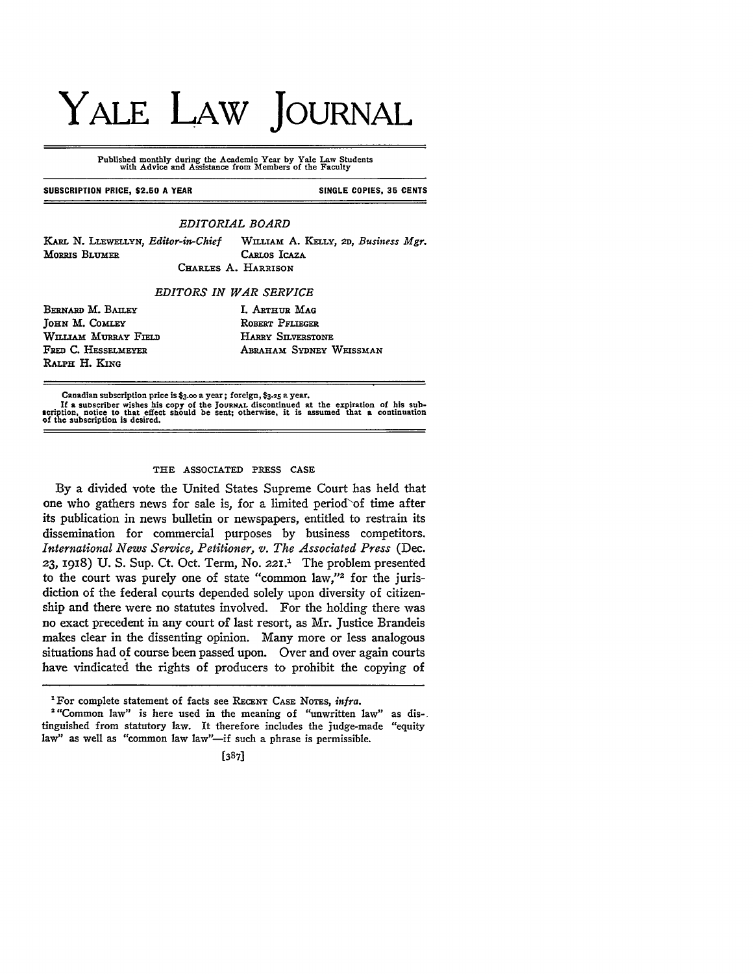# YALE LAW JOuRNAL

Published monthly during the Academic Year **by** Yale Law Students with Advice and Assistance from Members of the Faculty

### SUBSCRIPTION PRICE, \$2.50 A YEAR SINGLE COPIES, 35 CENTS

#### *EDITORIAL BOARD*

KARL **N.** LLEwELLYN, *Editor-in-Chief* **WIuIAM** A. KELLY, **2D,** *Business Mgr.* **MoRRIs BLumER CARLOS** ICAZA CHARLES A. HARRISON

### *EDITORS IN WAR SERVICE*

BERNARD M. BAILEY **I. ARTHUR MAG**<br> **IOHN M. COMLEY SERVICER**<br> **ROBERT PFLIEGER JOHN M. Cox=.Y** ROBERT PFIEGER WILLIAM MURRAY FIELD<br>FRED C. HESSELMEYER **RALPH** H. **KING**

**ABRAHAM SYDNEY WEISSMAN** 

Canadian subscription price is **\$3.00** a year; foreign, **\$3.25 a** year.

If a subscriber wishes his copy of the JOURNAL discontinued at the expiration of his sub-<br>acription, notice to that effect should be sent; otherwise, it is assumed that a continuation<br>of the subscription is desired.

## THE ASSOCIATED PRESS **CASE**

**By** a divided vote the United States Supreme Court has held that one who gathers news for sale is, for a limited period of time after its publication in news bulletin or newspapers, entitled to restrain its dissemination for commercial purposes by business competitors. *International News Service, Petitioner, v. The Associated Press* (Dec. **23,** 1918) U. S. Sup. Ct. Oct. Term, No. 221.1 The problem presented to the court was purely one of state "common law,"<sup>2</sup> for the jurisdiction of the federal courts depended solely upon diversity of citizenship and there were no statutes involved. For the holding there was no exact precedent in any court of last resort, as Mr. Justice Brandeis makes clear in the dissenting opinion. Many more or less analogous situations had of course been passed upon. Over and over again courts have vindicated the rights of producers to prohibit the copying of

<sup>2</sup> "Common law" is here used in the meaning of "unwritten law" as dis-. tinguished from statutory law. It therefore includes the judge-made "equity law" as well as "common law law"--if such a phrase is permissible.



**For** complete statement of facts see REcENT CASE NOTES, *infra.*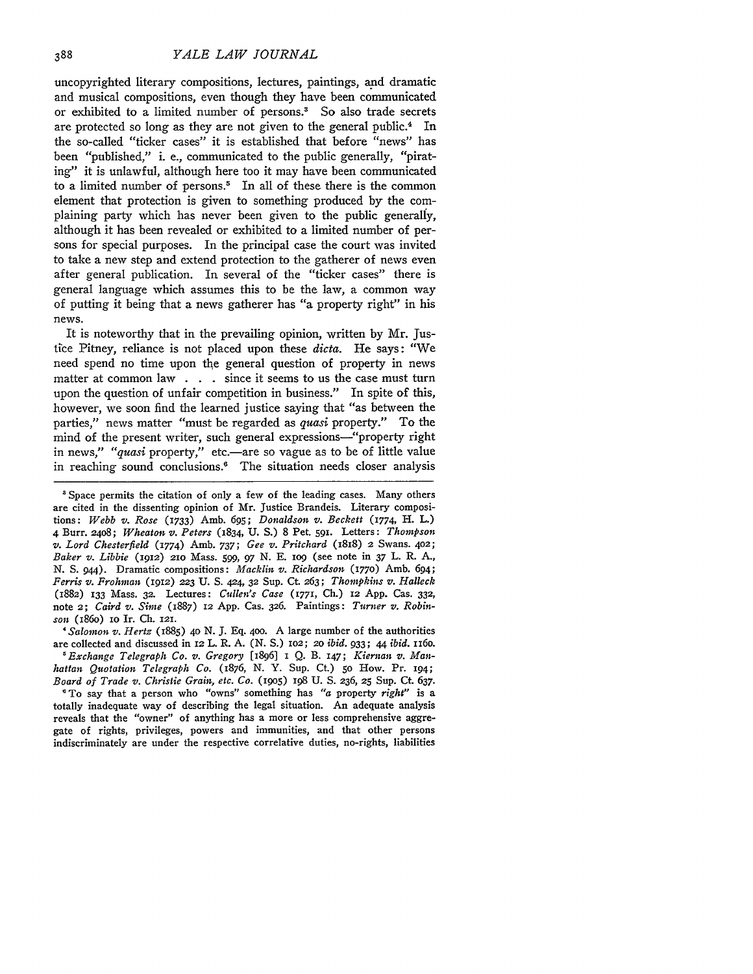uncopyrighted literary compositions, lectures, paintings, and dramatic and musical compositions, even though they have been communicated or exhibited to a limited number of persons.3 So also trade secrets are protected so long as they are not given to the general public. $4$  In the so-called "ticker cases" it is established that before "news" has been "published," i. e., communicated to the public generally, "pirating" it is unlawful, although here too it may have been communicated to a limited number of persons.<sup>5</sup> In all of these there is the common element that protection is given to something produced by the complaining party which has never been given to the public generally, although it has been revealed or exhibited to a limited number of persons for special purposes. In the principal case the court was invited to take a new step and extend protection to the gatherer of news even after general publication. In several of the "ticker cases" there is general language which assumes this to be the law, a common way of putting it being that a news gatherer has "a property right" in his news.

It is noteworthy that in the prevailing opinion, written by Mr. Justice Pitney, reliance is not placed upon these *dicta.* He says: "We need spend no time upon the general question of property in news matter at common law **. .** . since it seems to us the case must turn upon the question of unfair competition in business." In spite of this, however, we soon find the learned justice saying that "as between the parties," news matter "must be regarded as *quasi* property." To the mind of the present writer, such general expressions-"property right in news," "*quasi* property," etc.—are so vague as to be of little value in reaching sound conclusions.<sup>6</sup> The situation needs closer analysis

'Space permits the citation of only a few of the leading cases. Many others are cited in the dissenting opinion of Mr. Justice Brandeis. Literary compositions: *Webb v. Rose* (1733) Amb. *695; Donaldson v. Beckett (774, H.* L.) 4 Burr. 24o8; *Wheaton v. Peters* (3834, U. S.) 8 Pet. **591.** Letters: *Thompson v. Lord Chesterfield (1774)* Amb. *737; Gee v. Pritchard* (1818) 2 Swans. 402; *Baker v. Libbie* (1912) **210** Mass. *599, 97* N. E. *lO9* (see note in 37 L. R. A., N. **S.** 944). Dramatic compositions: *Macklin v. Richardson* **(1770)** Amb. 694; *Ferris v. Frohman* (1912) **223** U. **S.** 424, **32** Sup. Ct. 263; *Thompkins v. Halleck* (1882) 133 Mass. **32.** Lectures: *Cullen's Case* (1771, Ch.) 12 App. Cas. **332,** note *2; Caird v. Site* (1887) 12 App. Cas. 326. Paintings: *Turner v. Robinson* (186o) iO Ir. Ch. 121.

*'Salonon v. Hertz* (1885) 4o N. J. Eq. 4o0. A large number of the authorities are collected and discussed in 12 L. R. A. (N. **S.)** 1O2; **20** *ibid.* **933;** 44 *ibid.* 116o. *'Exchange Telegraph Co. v. Gregory* [1896] **I** Q. **B.** 147; *Kiernan v. Man-*

*hattan Quotation Telegraph Co.* (1876, N. Y. Sup. Ct.) 5o How. Pr. 194; *Board of Trade v. Christie Grain, etc. Co.* (19o5) 198 U. **S.** 236, **25** Sup. Ct. 637.

'To say that a person who "owns" something has *"a* property *right"* is a totally inadequate way of describing the legal situation. An adequate analysis reveals that the "owner" of anything has a more or less comprehensive aggregate of rights, privileges, powers and immunities, and that other persons indiscriminately are under the respective correlative duties, no-rights, liabilities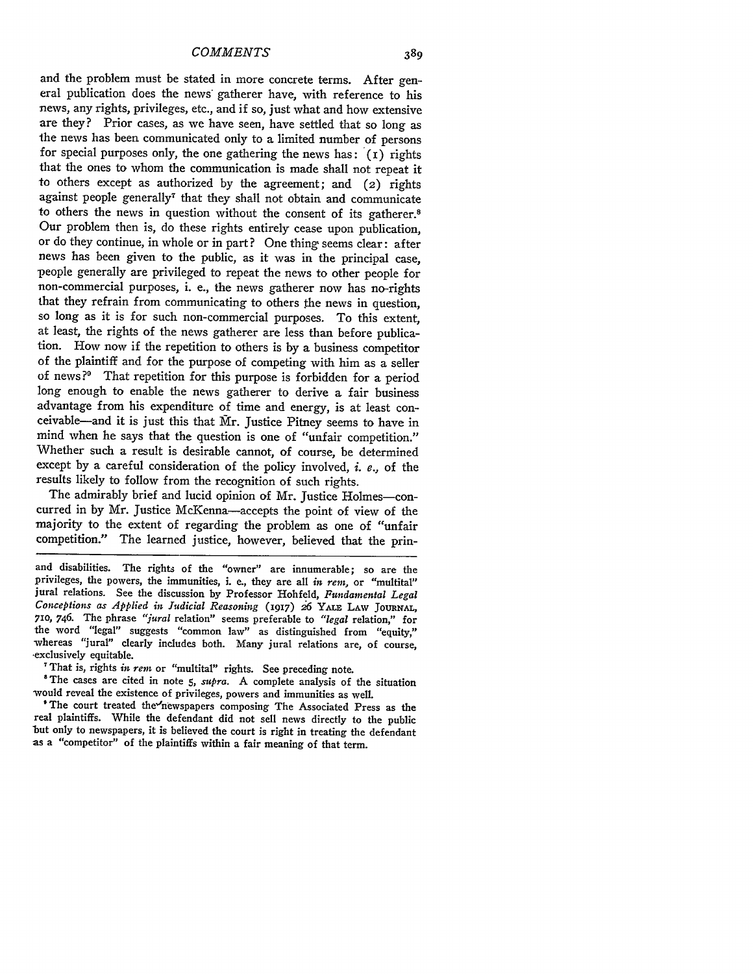and the problem must be stated in more concrete terms. After general publication does the news' gatherer have, with reference to his news, any rights, privileges, etc., and if so, just what and how extensive are they? Prior cases, as we have seen, have settled that so long as the news has been communicated only to a limited number of persons for special purposes only, the one gathering the news has: *(I)* rights that the ones to whom the communication is made shall not repeat it to others except as authorized **by** the agreement; and (2) rights against people generally<sup> $\tau$ </sup> that they shall not obtain and communicate to others the news in question without the consent of its gatherer.<sup>8</sup> Our problem then is, do these rights entirely cease upon publication, or do they continue, in whole or in part? One thing seems clear: after news has been given to the public, as it was in the principal case, 'people generally are privileged to repeat the news to other people for non-commercial purposes, i. e., the news gatherer now has no-rights that they refrain from communicating to others the news in question, so long as it is for such non-commercial purposes. To this extent, at least, the rights of the news gatherer are less than before publication. How now if the repetition to others is **by** a business competitor of the plaintiff and for the purpose of competing with him as a seller of news ?9 That repetition for this purpose is forbidden for a period long enough to enable the news gatherer to derive a fair business advantage from his expenditure of time and energy, is at least conceivable-and it is just this that  $Mr.$  Justice Pitney seems to have in mind when he says that the question is one of "unfair competition." Whether such a result is desirable cannot, of course, be determined except by a careful consideration of the policy involved, *i.* e., of the results likely to follow from the recognition of such rights.

The admirably brief and lucid opinion of Mr. Justice Holmes-concurred in **by** Mr. Justice McKenna-accepts the point of view of the majority to the extent of regarding the problem as one of "unfair competition." The learned justice, however, believed that the prin-

and disabilities. The rights of the "owner" are innumerable; so are the privileges, the powers, the immunities, i. e., they are all *in ren,* or "multital" jural relations. See the discussion by Professor Hohfeld, *Fundamental Legal Conceptions as Applied in Judicial Reasoning* (1917) *26* YALE LAW **JOURNAL, 710,** 746. The phrase *"jural* relation" seems preferable to *"legal* relation," for whereas "jural" clearly includes both. Many jural relations are, of course, -exclusively equitable.

<sup>7</sup> That is, rights *in rem* or "multital" rights. See preceding note.

<sup>8</sup>The cases are cited in note 5, *supra*. A complete analysis of the situation would reveal the existence of privileges, powers and immunities as well.

'The court treated the'newspapers composing The Associated Press as the real plaintiffs. While the defendant did not sell news directly to the public<br>but only to newspapers, it is believed the court is right in treating the defendant<br>as a "competitor" of the plaintiffs within a fair meaning of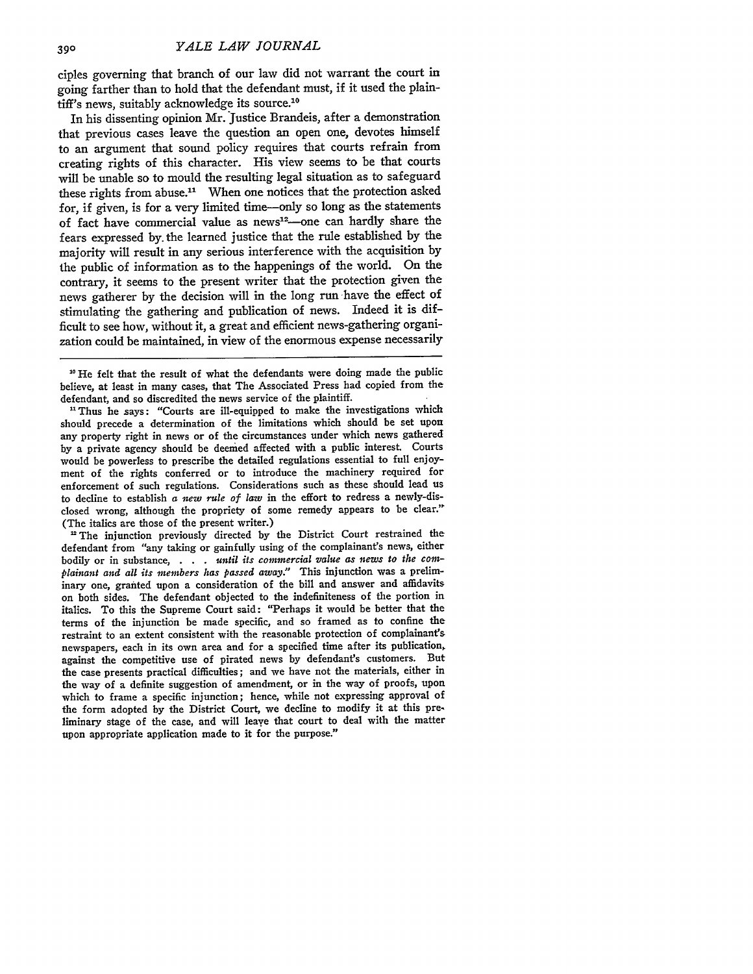ciples governing that branch of our law did not warrant the court in going farther than to hold that the defendant must, if it used the plaintiff's news, suitably acknowledge its source.<sup>10</sup>

In his dissenting opinion Mr. justice Brandeis, after a demonstration that previous cases leave the question an open one, devotes himself to an argument that sound policy requires that courts refrain from creating rights of this character. His view seems to be that courts will be unable so to mould the resulting legal situation as to safeguard these rights from abuse.'1 When one notices that the protection asked for, if given, is for a very limited time-only so long as the statements of fact have commercial value as news<sup>12</sup>-one can hardly share the fears expressed by. the learned justice that the rule established by the majority will result in any serious interference with the acquisition by the public of information as to the happenings of the world. On the contrary, it seems to the present writer that the protection given the news gatherer **by** the decision will in the long run have the effect of stimulating the gathering and publication of news. Indeed it is difficult to see how, without it, a great and efficient news-gathering organization could be maintained, in view of the enormous expense necessarily

" 0 He felt that the result of what the defendants were doing made the public believe, at least in many cases, that The Associated Press had copied from the defendant, and so discredited the news service of the plaintiff.

<sup>11</sup> Thus he says: "Courts are ill-equipped to make the investigations which should precede a determination of the limitations which should be set upon any property right in news or of the circumstances under which news gathered **by** a private agency should be deemed affected with a public interest. Courts would be powerless to prescribe the detailed regulations essential to full enjoyment of the rights conferred or to introduce the machinery required for enforcement of such regulations. Considerations such as these should lead us to decline to establish *a new rule of law* in the effort to redress a newly-disclosed wrong, although the propriety of some remedy appears to be clear." (The italics are those of the present writer.)

<sup>12</sup> The injunction previously directed by the District Court restrained the defendant from "any taking or gainfully using of the complainant's news, either bodily or in substance, **.** . . *until its commercial value as news to the complainant and all its members has passed away."* This injunction was a preliminary one, granted upon a consideration of the bill and answer and affidavits on both sides. The defendant objected to the indefiniteness of the portion in italics. To this the Supreme Court said: "Perhaps it would be better that the terms of the injunction be made specific, and so framed as to confine the restraint to an extent consistent with the reasonable protection of complainant's newspapers, each in its own area and for a specified time after its publication, against the competitive use of pirated news **by** defendant's customers. But the case presents practical difficulties; and we have not the materials, either in the way of a definite suggestion of amendment, or in the way of proofs, upon which to frame a specific injunction; hence, while not expressing approval of the form adopted by the District Court, we decline to modify it at this preliminary stage of the case, and will leave that court to deal with the matter upon appropriate application made to it for the purpose."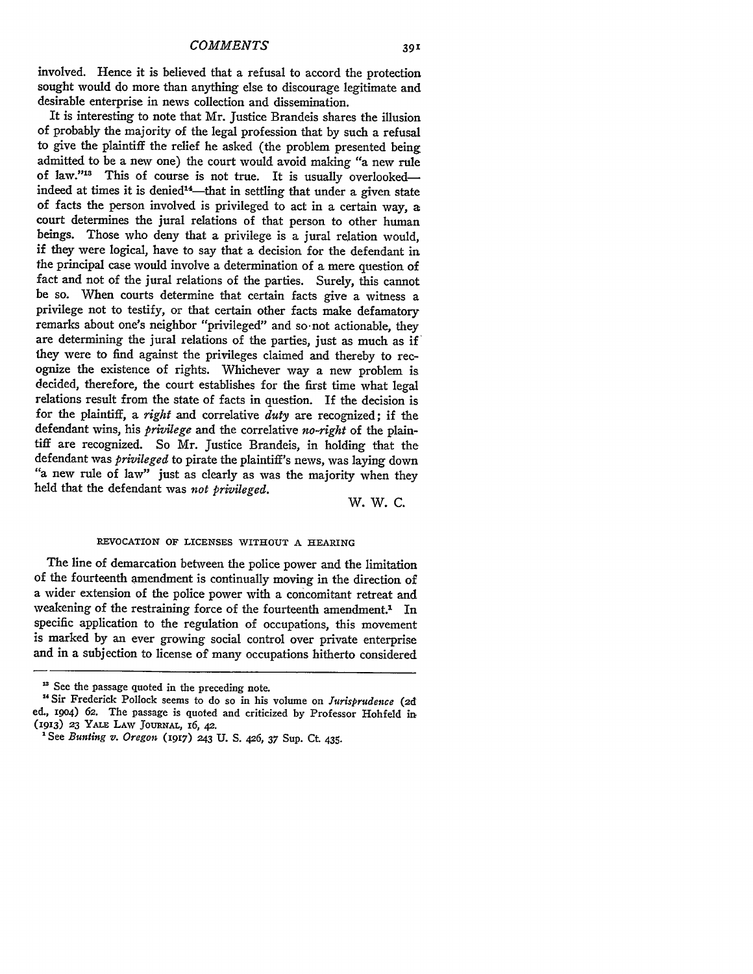involved. Hence it is believed that a refusal to accord the protection sought would do more than anything else to discourage legitimate and desirable enterprise in news collection and dissemination.

It is interesting to note that Mr. Justice Brandeis shares the illusion of probably the majority of the legal profession that **by** such a refusal to give the plaintiff the relief he asked (the problem presented being admitted to be a new one) the court would avoid making "a new rule of law."<sup>13</sup> This of course is not true. It is usually overlookedindeed at times it is denied<sup>14</sup>—that in settling that under a given state of facts the person involved is privileged to act in a certain way, a court determines the jural relations of that person to other human beings. Those who deny that a privilege is a jural relation would, if they were logical, have to say that a decision for the defendant in the principal case would involve a determination of a mere question of fact and not of the jural relations of the parties. Surely, this cannot be so. When courts determine that certain facts give a witness a privilege not to testify, or that certain other facts make defamatory remarks about one's neighbor "privileged" and so-not actionable, they are determining the jural relations of the parties, just as much as if they were to find against the privileges claimed and thereby to recognize the existence of rights. Whichever way a new problem is decided, therefore, the court establishes for the first time what legal relations result from the state of facts in question. If the decision is for the plaintiff, a *right* and correlative *duty* are recognized; if the defendant wins, his *privilege* and the correlative *no-right* of the plaintiff are recognized. So Mr. Justice Brandeis, in holding that the defendant was *privileged* to pirate the plaintiff's news, was laying down "a new rule of law" just as clearly as was the majority when they held that the defendant was *not privileged.*

W. W. C.

## REVOCATION **OF LICENSES** WITHOUT **A HEARING**

The line of demarcation between the police power and the limitation of the fourteenth amendment is continually moving in the direction of a wider extension of the police power with a concomitant retreat and weakening of the restraining force of the fourteenth amendment.' In specific application to the regulation of occupations, this movement is marked by an ever growing social control over private enterprise and in a subjection to license of many occupations hitherto considered

**<sup>&</sup>quot;** See the passage quoted in the preceding note. "' Sir Frederick Pollock seems to do so in his volume on *Jurisprudence* **(2d** ed., 1904) 62. The passage is quoted and criticized by Professor Hohfeld in (1913) 23 YALE LAW JOURNAL, 16, 42.

<sup>&</sup>lt;sup>1</sup> See *Bunting v. Oregon* (1917) 243 U. S. 426, 37 Sup. Ct. 435.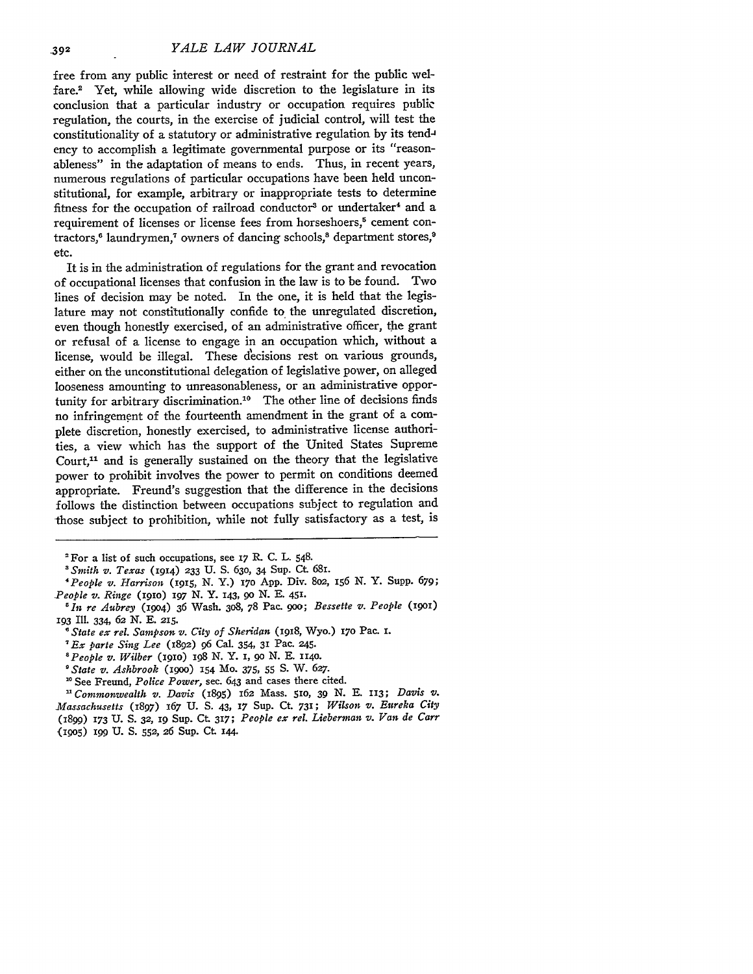free from any public interest or need of restraint for the public welfare.<sup>2</sup> Yet, while allowing wide discretion to the legislature in its conclusion that a particular industry or occupation requires public regulation, the courts, in the exercise of judicial control, will test the constitutionality of a statutory or administrative regulation by its tendency to accomplish a legitimate governmental purpose or its "reasonableness" in the adaptation of means to ends. Thus, in recent years, numerous regulations of particular occupations have been held unconstitutional, for example, arbitrary or inappropriate tests to determine fitness for the occupation of railroad conductor<sup>3</sup> or undertaker<sup>4</sup> and a requirement of licenses or license fees from horseshoers,<sup>5</sup> cement contractors,<sup>6</sup> laundrymen,<sup>7</sup> owners of dancing schools,<sup>8</sup> department stores,<sup>9</sup> etc.

It is in the administration of regulations for the grant and revocation of occupational licenses that confusion in the law is to be found. Two lines of decision may be noted. In the one, it is held that the legislature may not constitutionally confide to the unregulated discretion, even though honestly exercised, of an administrative officer, the grant or refusal of a license to engage in an occupation which, without a license, would be illegal. These decisions rest on various grounds, either on the unconstitutional delegation of legislative power, on alleged looseness amounting to unreasonableness, or an administrative opportunity for arbitrary discrimination.<sup>10</sup> The other line of decisions finds no infringement of the fourteenth amendment in the grant of a complete discretion, honestly exercised, to administrative license authorities, a view which has the support of the United States Supreme Court,<sup>11</sup> and is generally sustained on the theory that the legislative power to prohibit involves the power to permit on conditions deemed appropriate. Freund's suggestion that the difference in the decisions follows the distinction between occupations subject to regulation and those subject to prohibition, while not fully satisfactory as a test, is

*'State v. Ashbrook* (igoo) **154** Mo. 375, 55 **S.** W. *627.*

<sup>10</sup> See Freund, *Police Power*, sec. 643 and cases there cited.

*"Commonwealth v. Davis* (1895) *162* Mass. 510, 39 **N. E.** 113; *Davis v. Massachusetts* (1897) 167 **U. S.** 43, **17** Sup. Ct. 731; *Wilson v. Eureka City* (899) 173 **U. S. 32,** 19 Sup. Ct **317;** *People ex rel. Lieberman v. Van de Carr* **(I905) 199 U. S. 552,** 26 Sup. Ct 144.

<sup>&#</sup>x27;For a list of such occupations, see *17* **R. C.** L. 548.

*<sup>&#</sup>x27;Smith v. Texas* (1914) *233* **U.** S. 63o, 34 Sup. Ct. 681.

*<sup>&#</sup>x27;People v. Harrison (1915,* **N.** Y.) **170** App. Div. 8o2, 156 N. Y. Supp. 679; *People v. Ringe* (igio) *197* **N.** Y. 143, **9o** N. **E.** 451.

*<sup>&#</sup>x27;In re Aubrey* **(1904)** *36* Wash. 308, 78 Pac. *goo; Bessette v. People (igoi)* 193 Ill. 334, *62 N.* **E. 215.**

*<sup>&#</sup>x27;State ex rel. Sampson v. City of Sheridan* (1918, Wyo.) **17o** Pac. **i.**

*<sup>&</sup>quot;Ex parte Sing Lee* (1892) **96** Cal. 354, 31 Pac. **245.**

*<sup>&#</sup>x27;People v. Wilber* (1gio) *198* **N.** Y. i, *9o* **N. E. 114o.**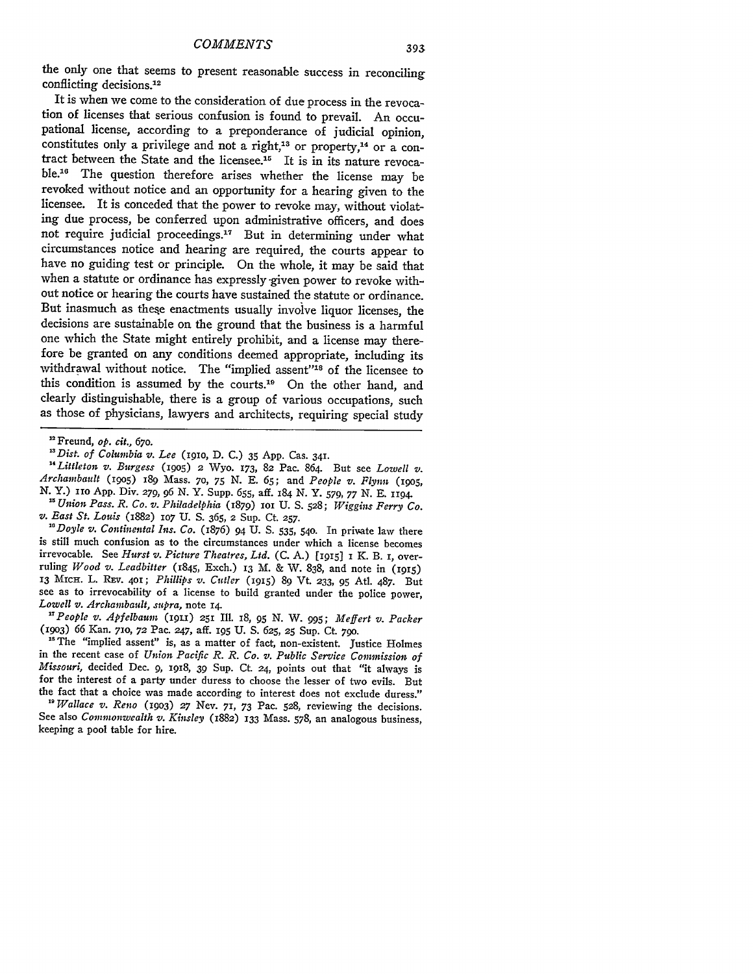the only one that seems to present reasonable success in reconciling conflicting decisions.<sup>12</sup>

It is when we come to the consideration of due process in the revocation of licenses that serious confusion is found to prevail. An occupational license, according to a preponderance of judicial opinion, constitutes only a privilege and not a right,<sup>13</sup> or property,<sup>14</sup> or a contract between the State and the licensee.<sup>15</sup> It is in its nature revocable.<sup>16</sup> The question therefore arises whether the license may be revoked without notice and an opportunity for a hearing given to the licensee. It is conceded that the power to revoke may, without violating due process, be conferred upon administrative officers, and does not require judicial proceedings.<sup>17</sup> But in determining under what circumstances notice and hearing are required, the courts appear to have no guiding test or principle. On the whole, it may be said that when a statute or ordinance has expressly given power to revoke without notice or hearing the courts have sustained the statute or ordinance. But inasmuch as these enactments usually involve liquor licenses, the decisions are sustainable on the ground that the business is a harmful one which the State might entirely prohibit, and a license may therefore be granted on any conditions deemed appropriate, including its withdrawal without notice. The "implied assent"<sup>18</sup> of the licensee to this condition is assumed by the courts.<sup>19</sup> On the other hand, and clearly distinguishable, there is a group of various occupations, such as those of physicians, lawyers and architects, requiring special study

*"Littleton v. Burgess* **(19o5)** 2 Wyo. 173, **82** Pac. 864. But see *Lowell v. Archambault (9o5)* **189** Mass. **70, 75 N. E. 65;** and *People v. Flynn* (9o95, **N.** Y.) i1o App. Div. **279, 96 N.** Y. Supp. **655,** aff. 184 **N. Y. 579, 77** *N.* **E.** 1194.

*" Union Pass. R. Co. v. Philadelphia* (1879) **10, U. S. 528;** *Wiggins Ferry Co. v. East St. Louis* (1882) **107 U. S. 365,** 2 Sup. Ct. **257.**

*"Doyle v. Continental Ins. Co.* (1876) 94 **U. S. 535, 540.** In private law there is still much confusion as to the circumstances under which a license becomes irrevocable. See *Hurst v. Picture Theatres, Ltd.* **(C. A.)** [1915] 1 K. B. i, over- ruling *Wood v. Leadbitter* (1845, Exch.) **13** M. & W. **838,** and note in **(1915)** 13 MIcH. L. **REv. 4O;** *Phillips v. Cutler* **(1915)** 89 **Vt. 233,** 95 At. **487.** But see as to irrevocability of a license to build granted under the police power, *Lowell v. Archambault, supra,* note **14.**

*"'People v. Apfelbaum* (igi) **<sup>251</sup>**Ill. 18, **<sup>95</sup>**N. W. **995;** *Meffert v. Packer* (19o3) *66* Kan. **710,** *72* Pac. *247,* aff. 195 U. **S.** 625, **25** Sup. Ct. **790.**

<sup>18</sup> The "implied assent" is, as a matter of fact, non-existent. Justice Holmes in the recent case of *Union Pacific R. R. Co. v. Public Service Commission of Missouri,* decided Dec. **9,** 1918, 39 Sup. Ct. 24, points out that "it always is for the interest of a party under duress to choose the lesser of two evils. But the fact that a choice was made according to interest does not exclude duress."

*<sup>9</sup>Wallace v. Reno* **(1903)** *27* Nev. **71,** 73 Pac. 528, reviewing the decisions. See also *Commonwealth v. Kinsley* (1882) 133 Mass. 578, an analogous business, keeping a pool table for hire.

<sup>&</sup>lt;sup>2</sup> Freund, *op. cit., 670.* 

*<sup>&</sup>quot;Dist. of Columbia* v. *Lee* (igio, **D. C.) 35 App.** Cas. 341.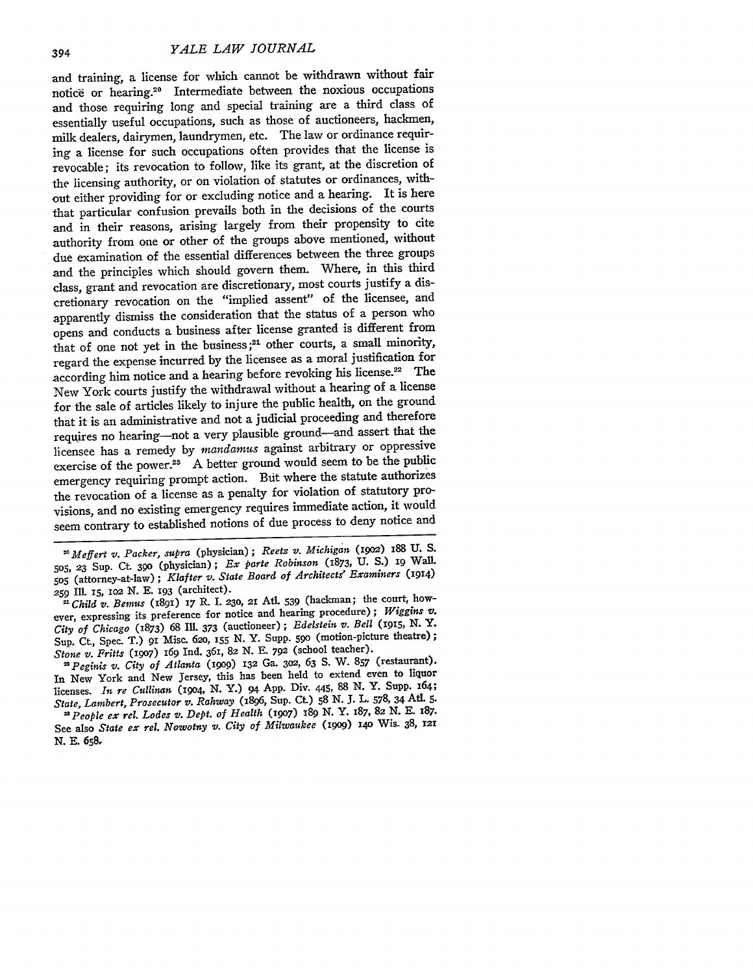and training, a license for which cannot be withdrawn without fair notice or hearing.<sup>20</sup> Intermediate between the noxious occupations and those requiring long and special training are a third class of essentially useful occupations, such as those of auctioneers, hackmen, milk dealers, dairymen, laundrymen, etc. The law or ordinance requiring a license for such occupations often provides that the license is revocable; its revocation to follow, like its grant, at the discretion of the licensing authority, or on violation of statutes or ordinances, without either providing for or excluding notice and a hearing. It is here that particular confusion prevails both in the decisions of the courts and in their reasons, arising largely from their propensity to cite authority from one or other of the groups above mentioned, without due examination of the essential differences between the three groups and the principles which should govern them. Where, in this third class, grant and revocation are discretionary, most courts justify a discretionary revocation on the "implied assent" of the licensee, and apparently dismiss the consideration that the status of a person who opens and conducts a business after license granted is different from that of one not yet in the business;<sup>21</sup> other courts, a small minority, regard the expense incurred by the licensee as a moral justification for according him notice and a hearing before revoking his license.22 The New York courts justify the withdrawal without a hearing of a license for the sale of articles likely to injure the public health, on the ground that it is an administrative and not a judicial proceeding and therefore requires no hearing-not a very plausible ground-and assert that the licensee has a remedy by *mandamus* against arbitrary or oppressive exercise of the power.<sup>23</sup> A better ground would seem to be the public emergency requiring prompt action. But where the statute authorizes the revocation of a license as a penalty for violation of statutory provisions, and no existing emergency requires immediate action, it would seem contrary to established notions of due process to deny notice and

*<sup>&#</sup>x27;Meffert v. Packer, supra* (physician) **;** *Reetz v. Michigan* **(1902)** i88 **U. S. 505, 23** Sup. Ct **390** (physician); *Ex parte Robinson* (1873, **U.** S.) ig Wall. **505** (attorney-at-law) ; *Klafter v. State Board of Architects' Examiners* (1914) **259 Ill. 15, 1o2 N. E. 193** (architect).

<sup>&</sup>lt;sup>21</sup> Child *v. Bemus* (1891) **17 R. I. 230, 21 Atl. 539 (hackman; the court, how**ever, expressing its preference for notice and hearing procedure) ; *Wiggins v. City of Chicago* (i873) **68 Ill. 373** (auctioneer) **;** *Edelstein v. Bell* **(i9,5, N.** Y. Sup. Ct, Spec. T.) **91** Misc. **62o, 155 N.** Y. Supp. **59o** (motion-picture theatre); *Stone v. Pritts (i9o7) i69* Ind. 361, **82 N. E.** *792* (school teacher).

*<sup>&#</sup>x27;Peginis v. City of Atlanta (i909)* **132** Ga. **3o2, 63 S.** W. **857** (restaurant). In New York and New Jersey, this has been held to extend even to liquor licenses. *In re Cullinan. (i9o4,* **N.** Y.) 94 App. Div. **445, 88 N.** Y. Supp. 164; *State, Lambert, Prosecutor v. Rahway (1896,* Sup. Ct.) **58 N. J.** L. **578,** *34* At. **5.**

*<sup>&#</sup>x27;People ex rel. Lodes v. Dept. of Health (igo7) i89* **N.** Y. i87, **82 N. E.** i87. See also *State ex rel. Nowotny v. City of Milwaukee* **(I99)** 14o Wis. **38, 12i N. E. 65&**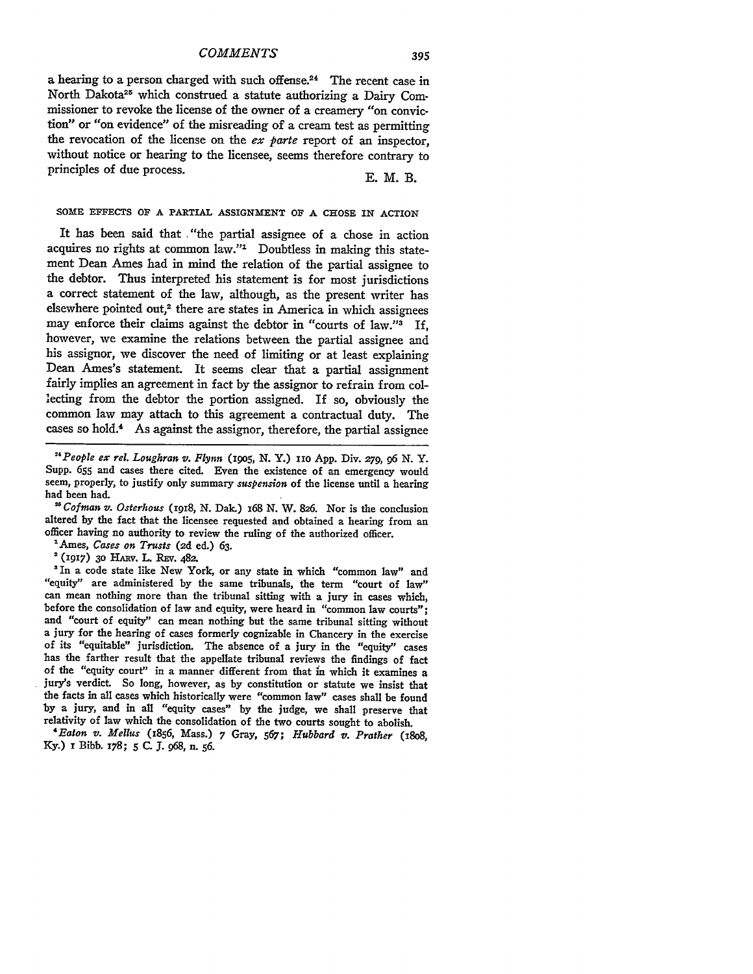*COMMENTS*

a hearing to a person charged with such offense.<sup>24</sup> The recent case in North Dakota<sup>25</sup> which construed a statute authorizing a Dairy Commissioner to revoke the license of the owner of a creamery "on conviction" or *"on* evidence" of the misreading of a cream test as permitting the revocation of the license on the *ex parte* report of an inspector, without notice or hearing to the licensee, seems therefore contrary to principles of due process.<br>
E. M. B.

# **SOME EFFECTS OF A PARTIAL ASSIGNMENT OF A CHOSE IN ACTION**

It has been said that "the partial assignee of a chose in action acquires no rights at common law."' Doubtless in making this statement Dean Ames had in mind the relation of the partial assignee to the debtor. Thus interpreted his statement is for most jurisdictions a correct statement of the law, although, as the present writer has elsewhere pointed out,<sup>2</sup> there are states in America in which assignees may enforce their claims against the debtor in "courts of law."<sup>3</sup> If, however, we examine the relations between the partial assignee and his assignor, we discover the need of limiting or at least explaining Dean Ames's statement. It seems clear that a partial assignment fairly implies an agreement in fact by the assignor to refrain from collecting from the debtor the portion assigned. If so, obviously the common law may attach to this agreement a contractual duty. The cases so hold.4 As against the assignor, therefore, the partial assignee

*<sup>2</sup> "People ex rel. Loughran v. Flynn* (I9O5, **N.** Y.) **IIo App.** Div. **:279,** *96* **N.** Y. Supp. *655* and cases there cited. Even the existence of an emergency would seem, properly, to justify only summary *suspension* of the license until a hearing had been had.

*<sup>&#</sup>x27;Cofman v. Osterhous (I918,* **N.** Dak.) x68 **N.** W. 826. Nor is the conclusion altered **by** the fact that the licensee requested **and** obtained a hearing from an officer having no authority to review the ruling of the authorized officer.

<sup>&#</sup>x27;Ames, *Cases on Trusts* (2d ed.) **63.**

**<sup>&#</sup>x27; (1917) 30** HARv. L. REv. 482.

<sup>&#</sup>x27;In a code state like New York, or any state in which "common law" and "equity" are administered **by** the same tribunals, the term "court of law" can mean nothing more than the tribunal sitting with a jury in cases which, before the consolidation of law and equity, were heard in "common law courts"; and "court of equity" can mean nothing but the same tribunal sitting without a jury for the hearing of cases formerly cognizable in Chancery in the exercise of its "equitable" jurisdiction. The absence of a jury in the "equity" cases has the farther result that the appellate tribunal reviews the findings of fact of the "equity court" in a manner different from that in which it examines a jury's verdict So long, however, as **by** constitution or statute we insist that the facts in all cases which historically were "common law" cases shall be found **by** a jury, and in all "equity cases" by the judge, we shall preserve that relativity of law which the consolidation of the two courts sought to abolish.

*<sup>&</sup>quot;Eaton v. Mellus* (I856, Mass.) *7* Gray, *567; Hubbard v. Prather* (i8o8, **Ky.)** I Bibb. **178; 5 C. J.** 968, n. **56.**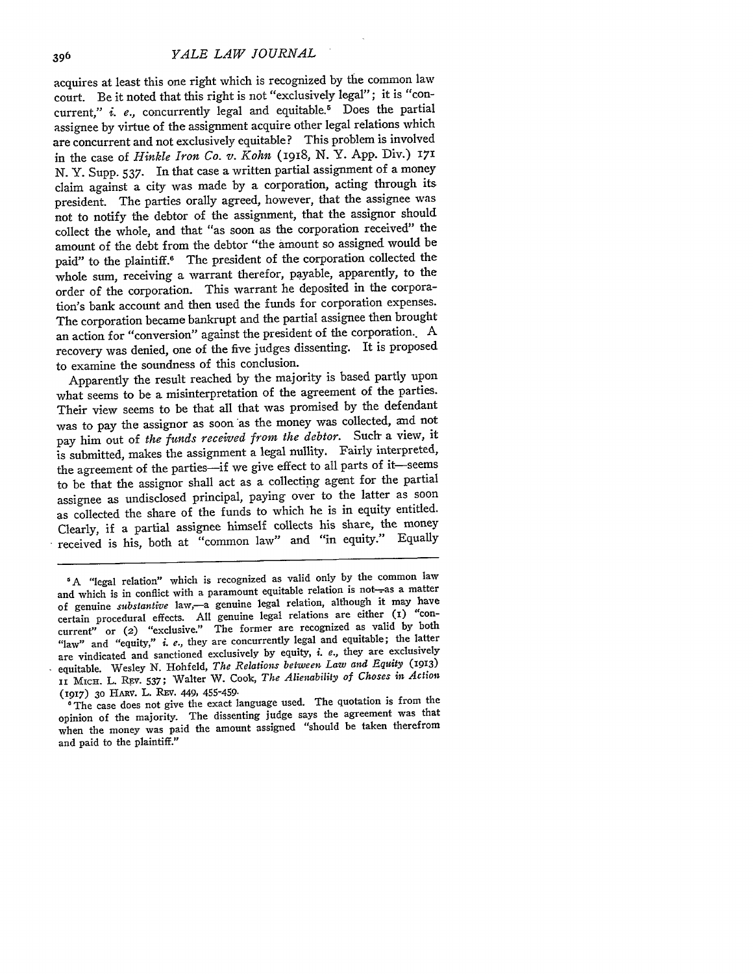acquires at least this one right which is recognized **by** the common law court. Be it noted that this right is not "exclusively legal"; it is "concurrent," *i. e.*, concurrently legal and equitable.<sup>5</sup> Does the partial assignee by virtue of the assignment acquire other legal relations which are concurrent and not exclusively equitable? This problem is involved in the case of *Hinkle Iron Co. v. Kohn* **(1918,** N. Y. App. Div.) **<sup>171</sup>** N. Y. Supp. *537.* In that case a written partial assignment of a money claim against a city was made by a corporation, acting through its president. The parties orally agreed, however, that the assignee was not to notify the debtor of the assignment, that the assignor should collect the whole, and that "as soon as the corporation received" the amount of the debt from the debtor "the amount so assigned would be paid" to the plaintiff.<sup>6</sup> The president of the corporation collected the whole sum, receiving a warrant therefor, payable, apparently, to the order of the corporation. This warrant he deposited in the corporation's bank account and then used the funds for corporation expenses. The corporation became bankrupt and the partial assignee then brought an action for "conversion" against the president of the corporation.. **A** recovery was denied, one of the five judges dissenting. It is proposed to examine the soundness of this conclusion.

Apparently the result reached by the majority is based partly upon what seems to be a misinterpretation of the agreement of the parties. Their view seems to be that all that was promised by the defendant was to pay the assignor as soon as the money was collected, and not pay him out of *the funds received from the debtor*. Such a view, it is submitted, makes the assignment a legal nullity. Fairly interpreted, the agreement of the parties-if we give effect to all parts of it-seems to be that the assignor shall act as a collecting agent for the partial assignee as undisclosed principal, paying over to the latter as soon as collected the share of the funds to which he is in equity entitled. Clearly, if a partial assignee himself collects his share, the money received is his, both at "common law" and "in equity." Equally

**<sup>&#</sup>x27;A** "legal relation" which is recognized as valid only **by** the common law and which is in conflict with a paramount equitable relation is not- $\pm$ as a matter of genuine *substantive* law,--a genuine legal relation, although it may have certain procedural effects. **All** genuine legal relations are either **(i)** "concurrent" or (2) "exclusive." The former are recognized as valid by both "law" and "equity," *i. e.,* they are concurrently legal and equitable; the latter are vindicated and sanctioned exclusively by equity, *i. e.,* they are exclusively equitable. Wesley **N.** Hohfeld, *The Relations between Law and Equity* **(1913)** ii Micii. L. **RFV..** 537; Walter W. Cook, *The Alienability of Choses in Action* **(1917)** 3o HARv. L. **REv.** 449, 455-459.

<sup>&#</sup>x27;The case does not give the exact language used. The quotation is from the opinion of the majority. The dissenting judge says the agreement was that when the money was paid the amount assigned "should be taken therefrom and paid to the plaintiff."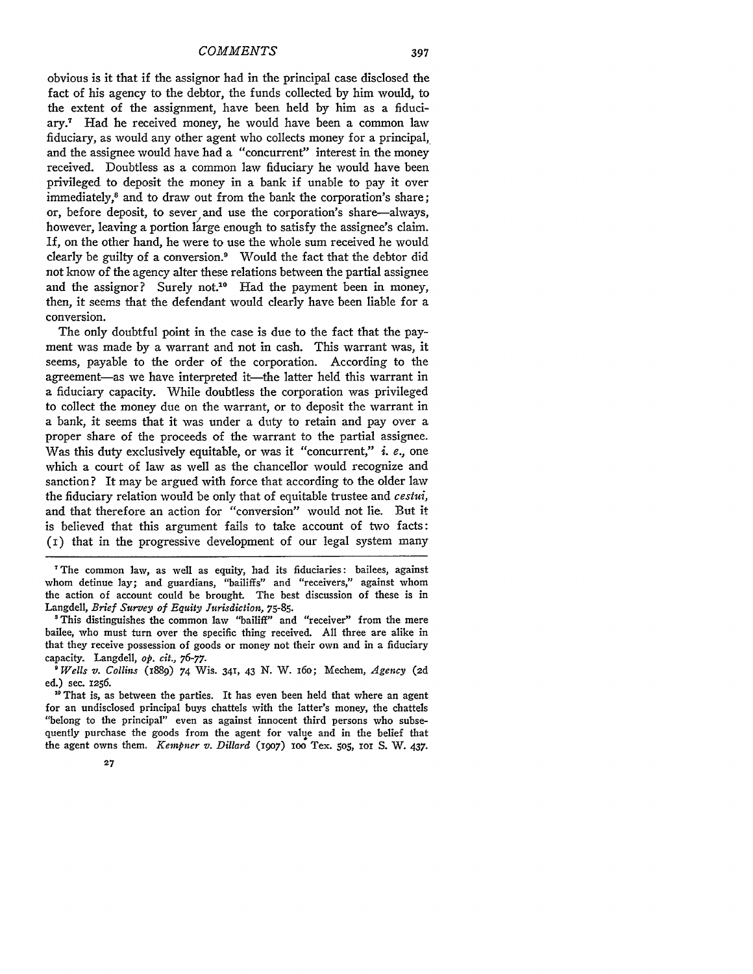obvious is it that if the assignor had in the principal case disclosed the fact of his agency to the debtor, the funds collected by him would, to the extent of the assignment, have been held by him as a fiduciary.7 Had he received money, he would have been a common law fiduciary, as would any other agent who collects money for a principal, and the assignee would have had a "concurrent" interest in the money received. Doubtless as a common law fiduciary he would have been privileged to deposit the money in a bank if unable to pay it over immediately,<sup>8</sup> and to draw out from the bank the corporation's share; or, before deposit, to sever and use the corporation's share-always, however, leaving a portion large enough to satisfy the assignee's claim. If, on the other hand, he were to use the whole sum received he would clearly be guilty of a conversion.9 Would the fact that the debtor did not know of the agency alter these relations between the partial assignee and the assignor? Surely not.<sup>10</sup> Had the payment been in money, then, it seems that the defendant would clearly have been liable for a conversion.

The only doubtful point in the case is due to the fact that the payment was made by a warrant and not in cash. This warrant was, it seems, payable to the order of the corporation. According to the agreement-as we have interpreted it-the latter held this warrant in a fiduciary capacity. While doubtless the corporation was privileged to collect the money due on the warrant, or to deposit the warrant in a bank, it seems that it was under a duty to retain and pay over a proper share of the proceeds of the warrant to the partial assignee. Was this duty exclusively equitable, or was it "concurrent," *i.* e., one which a court of law as well as the chancellor would recognize and sanction? It may be argued with force that according to the older law the fiduciary relation would be only that of equitable trustee and *cestui,* and that therefore an action for "conversion" would not lie. But it is believed that this argument fails to take account of two facts: (i) that in the progressive development of our legal system many

'The common law, as well as equity, had its fiduciaries: bailees, against whom detinue lay; and guardians, "bailiffs" and "receivers," against whom the action of account could be brought. The best discussion of these is in Langdell, *Brief Survey of Equity Jurisdiction,* **75-85.**

<sup>8</sup>This distinguishes the common law "bailiff" and "receiver" from the mere bailee, who must turn over the specific thing received. All three are alike in that they receive possession of goods or money not their own and in a fiduciary capacity. Langdell, *op. cit., 76-77.*

*'Wells v. Collins* (1889) 74 Wis. 341, 43 *N.* W. 16o; Mechem, *Agency* **(2d** ed.) sec. **1256.**

 $10$  That is, as between the parties. It has even been held that where an agent for an undisclosed principal buys chattels with the latter's money, the chattels "belong to the principal" even as against innocent third persons who subsequently purchase the goods from the agent for value and in the belief that the agent owns them. *Kempner v. Dillard* (1907) 100 Tex. 505, 101 S. W. 437.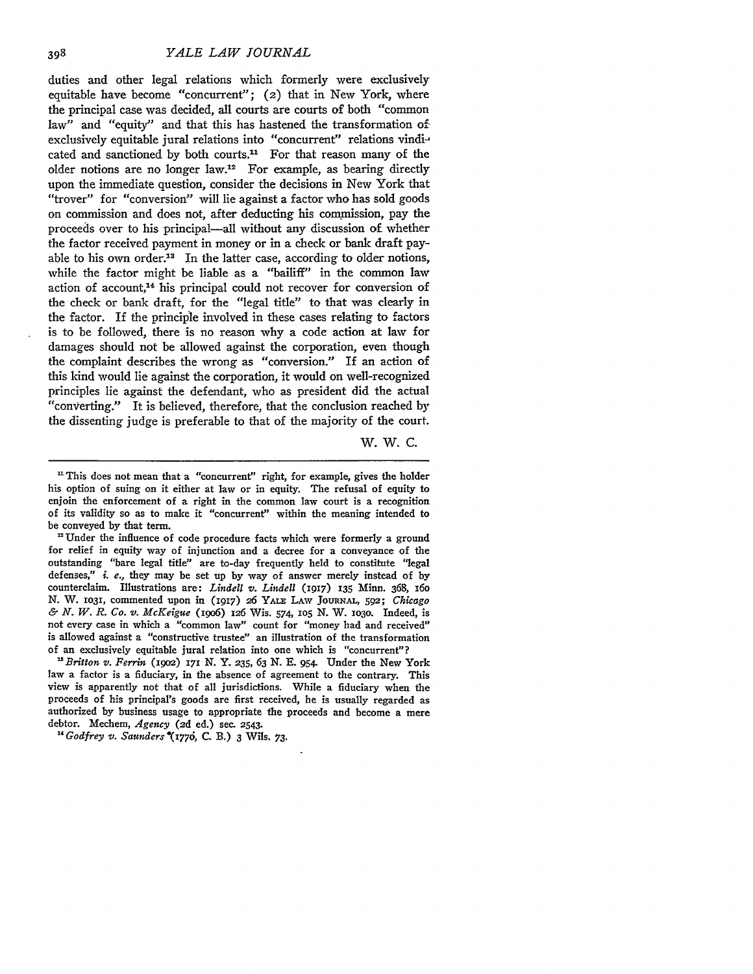duties and other legal relations which formerly were exclusively equitable have become "concurrent"; (2) that in New York, where the principal case was decided, all courts are courts of both "common law" and "equity" and that this has hastened the transformation of exclusively equitable jural relations into "concurrent" relations vindicated and sanctioned by both courts.<sup>11</sup> For that reason many of the older notions are no longer law.'2 For example, as bearing directly upon the immediate question, consider the decisions in New York that "trover" for "conversion" will lie against a factor who has sold goods on commission and does not, after deducting his commission, pay the proceeds over to his principal-all without any discussion of whether the factor received payment in money or in a check or bank draft payable to his own order.<sup>13</sup> In the latter case, according to older notions, while the factor might be liable as a "bailiff" in the common law action of account,<sup>14</sup> his principal could not recover for conversion of the check or bank draft, for the "legal title" to that was clearly in the factor. If the principle involved in these cases relating to factors is to be followed, there is no reason why a code action at law for damages should not be allowed against the corporation, even though the complaint describes the wrong as "conversion." If an action of this kind would lie against the corporation, it would on well-recognized principles lie against the defendant, who as president did the actual "converting." It is believed, therefore, that the conclusion reached by the dissenting judge is preferable to that of the majority of the court.

W. W. C.

<sup>12</sup> Under the influence of code procedure facts which were formerly a ground for relief in equity way of injunction and a decree for a conveyance of the outstanding "bare legal title" are to-day frequently held to constitute "legal defenses," i. *e.,* they may be set up by way of answer merely instead of by counterclaim. Illustrations are: *Lindell v. Lindell* (1917) 135 Minn. 368, 160 *N.* W. IO3I, commented upon in (97) **26 YALE LANW** JoURtNAL, **592;** *Chicago & N. W. R. Co. v. McKeigue* (i9o6) **126** Wis. 574, **,05** N. W. **1030.** Indeed, is not every case in which a "common law" count for "money had and received" is allowed against a "constructive trustee" an illustration of the transformation of an exclusively equitable jural relation into one which is "concurrent"?

*"Britton v. Ferrin* **(19o2) 171** *N.* **Y.** *235, 63* N. **E.** 954. Under the New York law a factor is a fiduciary, in the absence of agreement to the contrary. This view is apparently not that of all jurisdictions. While a fiduciary when the proceeds of his principal's goods are first received, he is usually regarded as authorized by business usage to appropriate the proceeds and become a mere debtor. Mechem, *Agency* (2d ed.) sec. 2543.

*" Godfrey v. Saunders* **1(776,** C. B.) 3 Wils. 73.

398

<sup>&</sup>lt;sup>11</sup> This does not mean that a "concurrent" right, for example, gives the holder his option of suing on it either at law or in equity. The refusal of equity to enjoin the enforcement of a right in the common law court is a recognition of its validity so as to make it "concurrent" within the meaning intended to be conveyed by that term.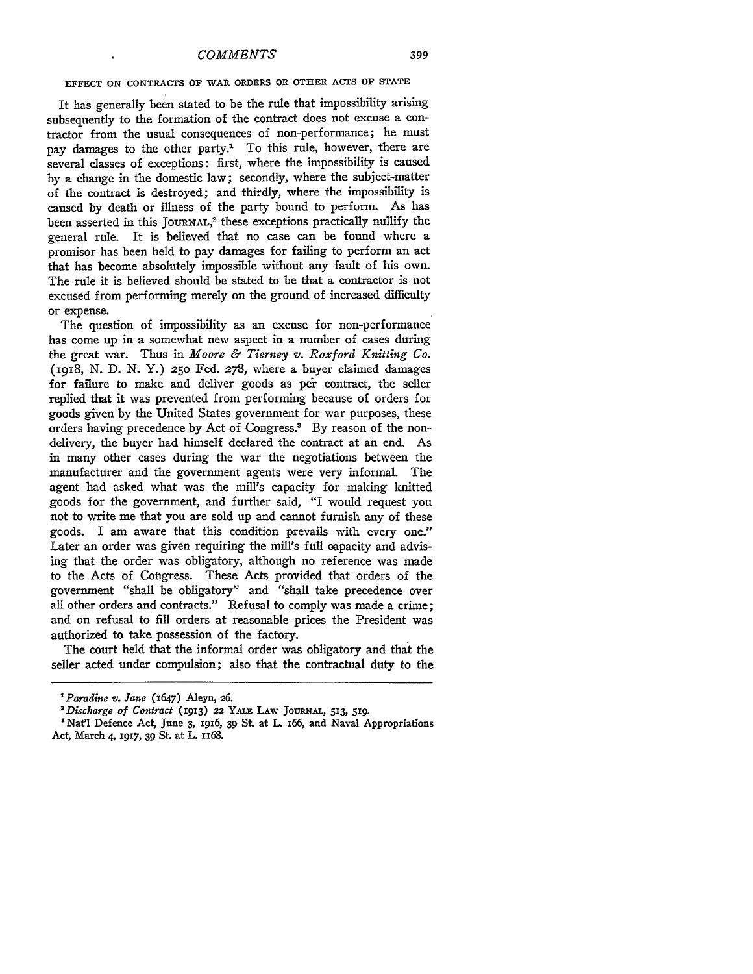*COMMENTS*

# **EFFECT ON CONTRACTS** OF WAR ORDERS OR OTHER **ACTS** OF **STATE**

It has generally been stated to be the rule that impossibility arising subsequently to the formation of the contract does not excuse a contractor from the usual consequences of non-performance; he must pay damages to the other party.' To this rule, however, there are several classes of exceptions: first, where the impossibility is caused by a change in the domestic law; secondly, where the subject-matter of the contract is destroyed; and thirdly, where the impossibility is caused by death or illness of the party bound to perform. As has been asserted in this JOURNAL,<sup>2</sup> these exceptions practically nullify the general rule. It is believed that no case can be found where a promisor has been held to pay damages for failing to perform an act that has become absolutely impossible without any fault of his own. The rule it is believed should be stated to be that a contractor is not excused from performing merely on the ground of increased difficulty or expense.

The question of impossibility as an excuse for non-performance has come up in a somewhat new aspect in a number of cases during the great war. Thus in *Moore & Tierney v. Roxford Knitting Co.* (1918, N. *D.* N. Y.) **250** Fed. **278,** where a buyer claimed damages for failure to make and deliver goods as per contract, the seller replied that it was prevented from performing because of orders for goods given by the United States government for war purposes, these orders having precedence by Act of Congress.' By reason of the nondelivery, the buyer had himself declared the contract at an end. As in many other cases during the war the negotiations between the manufacturer and the government agents were very informal. The agent had asked what was the mill's capacity for making knitted goods for the government, and further said, "I would request you not to write me that you are sold up and cannot furnish any of these goods. I am aware that this condition prevails with every one." Later an order was given requiring the mill's full oapacity and advising that the order was obligatory, although no reference was made to the Acts of Congress. These Acts provided that orders of the government "shall be obligatory" and "shall take precedence over all other orders and contracts." Refusal to comply was made a crime; and on refusal to fill orders at reasonable prices the President was authorized to take possession of the factory.

The court held that the informal order was obligatory and that the seller acted under compulsion; also that the contractual duty to the

*<sup>&#</sup>x27;Paradine v. Jane* (1647) Aleyn, **26.**

<sup>&</sup>lt;sup>2</sup> Discharge of Contract (1913) 22 YALE LAW JOURNAL, 513, 519.

<sup>&</sup>quot;Nat'l Defence Act, June 3, 1916, *39* St at L. 166, and Naval Appropriations Act, March 4, 1917, 39 St. at L. 1168.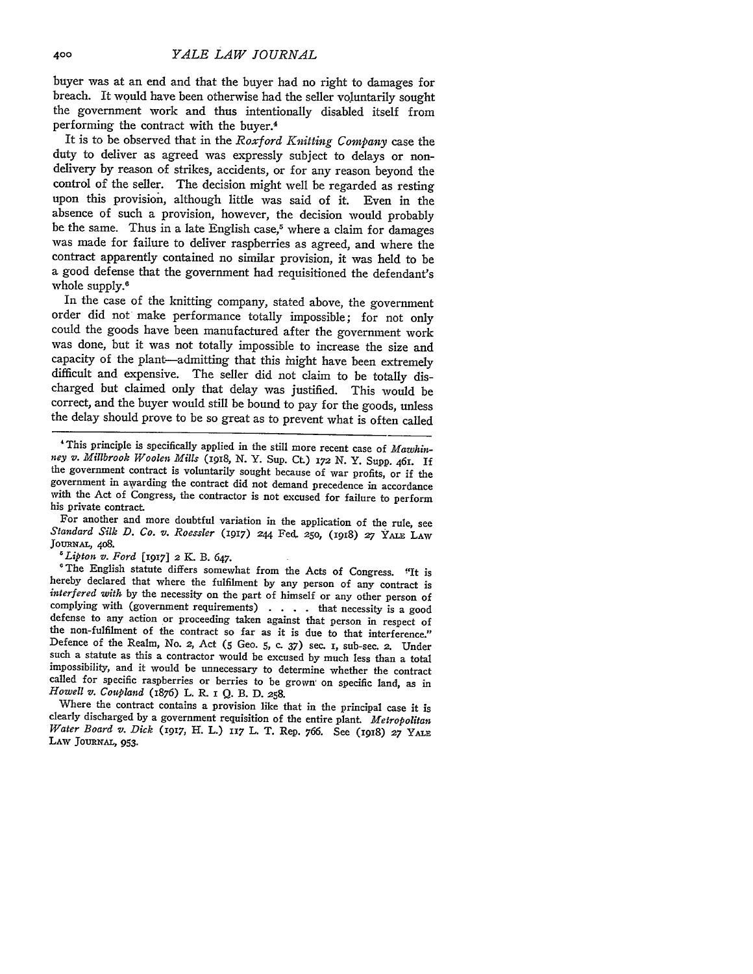buyer was at an end and that the buyer had no right to damages for breach. It would have been otherwise had the seller voluntarily sought the government work and thus intentionally disabled itself from performing the contract with the buyer.4

It is to be observed that in the *Roxford Knitting Company* case the duty to deliver as agreed was expressly subject to delays or nondelivery **by** reason of strikes, accidents, or for any reason beyond the control of the seller. The decision might well be regarded as resting upon this provision, although little was said of it. Even in the be the same. Thus in a late English case,<sup>5</sup> where a claim for damages was made for failure to deliver raspberries as agreed, and where the contract apparently contained no similar provision, it was held to be a good defense that the government had requisitioned the defendant's whole supply.<sup>6</sup>

In the case of the knitting company, stated above, the government order did not make performance totally impossible; for not only could the goods have been manufactured after the government work was done, but it was not totally impossible to increase the size and capacity of the plant—admitting that this might have been extremely difficult and expensive. The seller did not claim to be totally discharged but claimed only that delay was justified. This would be correct, and the buyer would still be bound to pay for the goods, unless the delay should prove to be so great as to prevent what is often called

For another and more doubtful variation in the application of the rule, see *Standard Silk D. Co. v. Roessler* **(1917) 244** Fed. **25o, (i918)** *27* **YALE LAW** JOURNAL, 408.

*'Lipton v. Ford* **[1917] 2** K. B. 647.

'The English statute differs somewhat from the Acts of Congress. **"It** is hereby declared that where the fulfilment **by** any person of any contract is *interfered with* **by** the necessity on the part of himself or any other person of complying with (government requirements) **. . . .** that necessity is a good defense to any action or proceeding taken against that person in respect of the non-fulfilment of the contract so far as it is due to that interference." Defence of the Realm, No. **2,** Act **(5** Geo. **5, c. 37)** sec. **i,** sub-sec. **2.** Under such a statute as this a contractor would be excused **by** much less than a total impossibility, and it would be unnecessary to determine whether the contract called for specific raspberries or berries to be grown on specific land, as in *Howell v. Coupland* (1876) L. **R. i Q.** B. **D. 258.**

Where the contract contains a provision like that in the principal case it is clearly discharged **by** a government requisition of the entire plant *Metropolitan Water Board v. Dick* **(1917,** H. L.) *117* L. T. Rep. *766.* See **(i918) 27** YALE LAW **JOURNAL, 953.**

**<sup>&</sup>quot;This** principle is specifically applied in the still more recent case of *Mawhinney v. Millbrook Woolen Mills (x918,* **N.** Y. Sup. Ct.) **172 N.** Y. Supp. 461. If the government contract is voluntarily sought because of war profits, or if the government in awarding the contract did not demand precedence in accordance with the Act of Congress, the contractor is not excused for failure to perform his private contract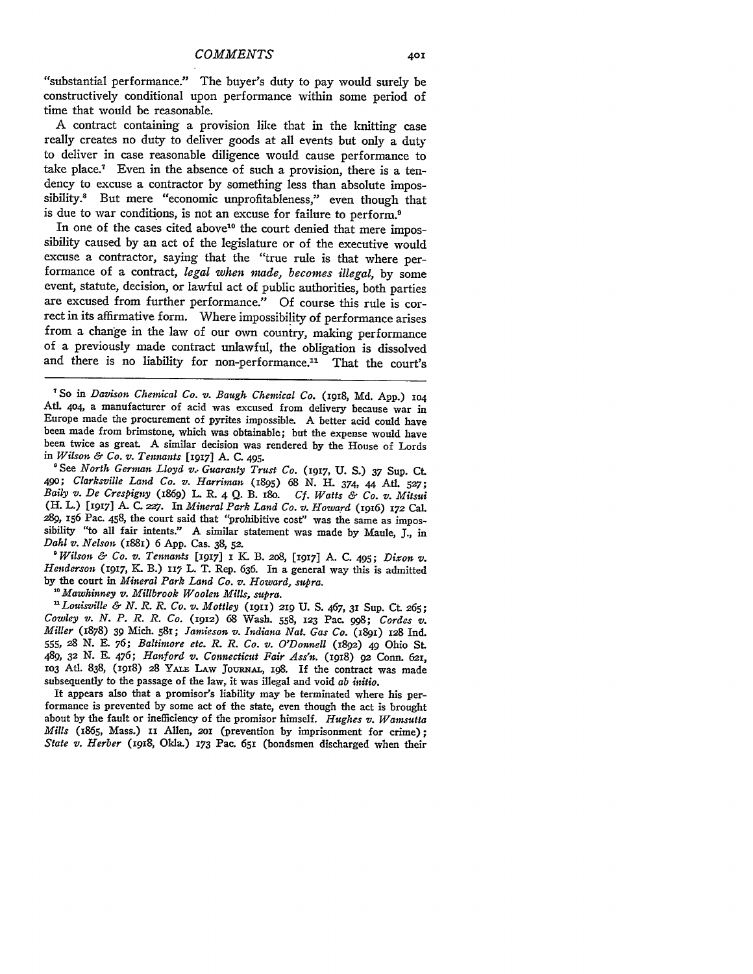"substantial performance." The buyer's duty to pay would surely be constructively conditional upon performance within some period of time that would be reasonable.

A contract containing a provision like that in the knitting case really creates no duty to deliver goods at all events but only a duty to deliver in case reasonable diligence would cause performance to take place.<sup>7</sup> Even in the absence of such a provision, there is a tendency to excuse a contractor by something less than absolute impossibility.<sup>8</sup> But mere "economic unprofitableness," even though that is due to war conditions, is not an excuse for failure to perform.9

In one of the cases cited above<sup>10</sup> the court denied that mere impossibility caused by an act of the legislature or of the executive would excuse a contractor, saying that the "true rule is that where performance of a contract, *legal when made, becomes illegal,* by some event, statute, decision, or lawful act of public authorities, both parties are excused from further performance." Of course this rule is correct in its affirmative form. Where impossibility of performance arises from a change in the law of our own country, making performance of a previously made contract unlawful, the obligation is dissolved and there is no liability for non-performance.<sup>11</sup> That the court's

**'So** in *Davison Chemical Co. v. Baugh Chemical Co.* (1918, **Md. App.) 1O4** At. **4o4,** a manufacturer of acid was excused from delivery because war in Europe made the procurement of pyrites impossible. A better acid could have been made from brimstone, which was obtainable; but the expense would have been twice as great. A similar decision was rendered by the House of Lords *in Wilson & Co. v. Tennants* [1917] **A. C.** 495.

"See *North* German *Lloyd v. Guaranty Trust Co.* (1917, **U. S.)** 37 Sup. Ct 49o; *Clarksville Land Co. v. Harriman* (1895) 68 **N.** H. *374,* 44 Atl. **527;** *Baily v. De Crespigny* (1869) L. R. 4 Q. B. i8o. *Cf. Watts & Co. v. Mitsui* (H. L.) [1917] A. C. *227.* In *Mineral Park Land Co. v. Howard* (1916) 172 Cal. 289, **156** Pac. 458, the court said that "prohibitive cost" was the same as impossibility "to all fair intents." A similar statement was made by Maule, **J.,** in *Dahl v. Nelson* (18i) 6 App. Cas. 38, **52.**

*'Wilson & Co. v. Tennants* [1917] **1 K.** B. 208, [1917] **A. C.** 495; *Dixon v. Henderson* (1917, *K.* B.) 112 L. T. Rep. 636. In a general way this is admitted by the court in *Mineral Park Land Co. v. Howard, supra. <sup>1</sup>*

*oMawhinney v. Millbrook Woolen Mills, supra.*

*I Louisville & N. R. R. Co. v. Mottley* (1911) 219 **U. S.** 467, **31** Sup. Ct. **265;** *Cowley v. N. P. R. R. Co.* (1912) 68 Wash. **558,** 123 Pac. 998; *Cordes v. Miller* (1878) 39 Mich. 581; *Jamieson v. Indiana Nat. Gas Co.* (1891) 128 Ind. 555, 28 N. E. *76; Baltimore etc. R. R. Co. v. O'Donnell* (1892) 49 Ohio St 489, **32** N. E. 476; *Hanford v. Connecticut Fair Assn.* (1918) **92** Conn. 621, 103 Atl. 838, (1918) 28 YALE LAW JOURNAL, 198. If the contract was made subsequently to the passage of the law, it was illegal and void *ab initio.*

It appears also that a promisor's liability may be terminated where his performance is prevented by some act of the state, even though the act is brought about by the fault or inefficiency of the promisor himself. *Hughes v. Wamsutta Mills* (1865, Mass.) II Allen, 201 (prevention by imprisonment for crime): *State v. Herber* (1918, Okla.) 173 Pac. 651 (bondsmen discharged when their